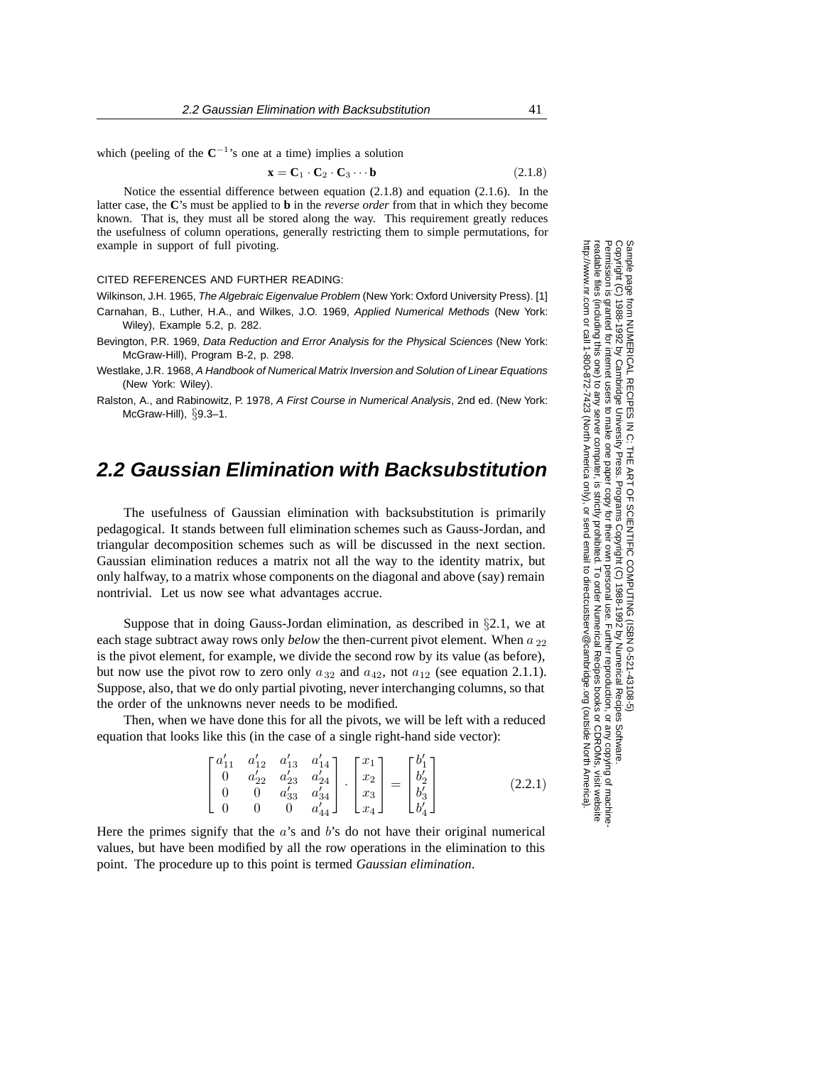which (peeling of the  $C^{-1}$ 's one at a time) implies a solution

$$
\mathbf{x} = \mathbf{C}_1 \cdot \mathbf{C}_2 \cdot \mathbf{C}_3 \cdots \mathbf{b} \tag{2.1.8}
$$

Notice the essential difference between equation (2.1.8) and equation (2.1.6). In the latter case, the **C**'s must be applied to **b** in the *reverse order* from that in which they become known. That is, they must all be stored along the way. This requirement greatly reduces the usefulness of column operations, generally restricting them to simple permutations, for example in support of full pivoting.

## CITED REFERENCES AND FURTHER READING:

Wilkinson, J.H. 1965, The Algebraic Eigenvalue Problem (New York: Oxford University Press). [1]

Carnahan, B., Luther, H.A., and Wilkes, J.O. 1969, Applied Numerical Methods (New York: Wiley), Example 5.2, p. 282.

Bevington, P.R. 1969, Data Reduction and Error Analysis for the Physical Sciences (New York: McGraw-Hill), Program B-2, p. 298.

Westlake, J.R. 1968, A Handbook of Numerical Matrix Inversion and Solution of Linear Equations (New York: Wiley).

Ralston, A., and Rabinowitz, P. 1978, A First Course in Numerical Analysis, 2nd ed. (New York: McGraw-Hill),  $\S$ 9.3–1.

## **2.2 Gaussian Elimination with Backsubstitution**

The usefulness of Gaussian elimination with backsubstitution is primarily pedagogical. It stands between full elimination schemes such as Gauss-Jordan, and triangular decomposition schemes such as will be discussed in the next section. Gaussian elimination reduces a matrix not all the way to the identity matrix, but only halfway, to a matrix whose components on the diagonal and above (say) remain nontrivial. Let us now see what advantages accrue.

Suppose that in doing Gauss-Jordan elimination, as described in §2.1, we at each stage subtract away rows only *below* the then-current pivot element. When a <sub>22</sub> is the pivot element, for example, we divide the second row by its value (as before), but now use the pivot row to zero only  $a_{32}$  and  $a_{42}$ , not  $a_{12}$  (see equation 2.1.1). Suppose, also, that we do only partial pivoting, never interchanging columns, so that the order of the unknowns never needs to be modified.

Then, when we have done this for all the pivots, we will be left with a reduced equation that looks like this (in the case of a single right-hand side vector):

$$
\begin{bmatrix} a'_{11} & a'_{12} & a'_{13} & a'_{14} \\ 0 & a'_{22} & a'_{23} & a'_{24} \\ 0 & 0 & a'_{33} & a'_{34} \\ 0 & 0 & 0 & a'_{44} \end{bmatrix} \cdot \begin{bmatrix} x_1 \\ x_2 \\ x_3 \\ x_4 \end{bmatrix} = \begin{bmatrix} b'_1 \\ b'_2 \\ b'_3 \\ b'_4 \end{bmatrix}
$$
 (2.2.1)

Here the primes signify that the  $a$ 's and  $b$ 's do not have their original numerical values, but have been modified by all the row operations in the elimination to this point. The procedure up to this point is termed *Gaussian elimination*.

Permission is granted for internet users to make one paper copy for their own personal use. Further reproduction, or any copyin Copyright (C) 1988-1992 by Cambridge University Press.Programs Copyright (C) 1988-1992 by Numerical Recipes Software. Sample page from NUMERICAL RECIPES IN C: THE ART OF SCIENTIFIC COMPUTING (ISBN 0-521-43108-5) g of machinereadable files (including this one) to any servercomputer, is strictly prohibited. To order Numerical Recipes booksor CDROMs, visit website http://www.nr.com or call 1-800-872-7423 (North America only),or send email to directcustserv@cambridge.org (outside North America).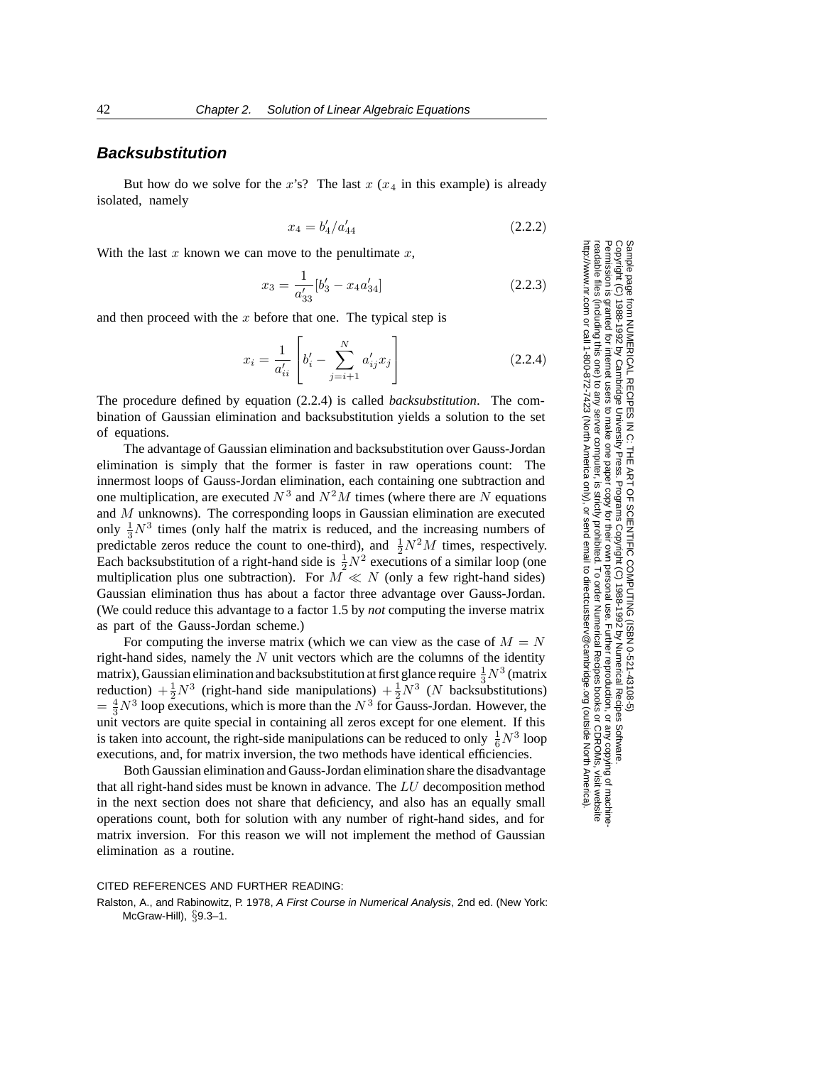## **Backsubstitution**

But how do we solve for the x's? The last  $x(x_4)$  in this example) is already isolated, namely

$$
x_4 = b_4'/a_{44}' \tag{2.2.2}
$$

With the last x known we can move to the penultimate x,

$$
x_3 = \frac{1}{a'_{33}} [b'_3 - x_4 a'_{34}]
$$
 (2.2.3)

and then proceed with the  $x$  before that one. The typical step is

$$
x_i = \frac{1}{a'_{ii}} \left[ b'_i - \sum_{j=i+1}^N a'_{ij} x_j \right]
$$
 (2.2.4)

The procedure defined by equation (2.2.4) is called *backsubstitution*. The combination of Gaussian elimination and backsubstitution yields a solution to the set of equations.

The advantage of Gaussian elimination and backsubstitution over Gauss-Jordan elimination is simply that the former is faster in raw operations count: The innermost loops of Gauss-Jordan elimination, each containing one subtraction and one multiplication, are executed  $N^3$  and  $N^2M$  times (where there are N equations and M unknowns). The corresponding loops in Gaussian elimination are executed only  $\frac{1}{3}N^3$  times (only half the matrix is reduced, and the increasing numbers of predictable zeros reduce the count to one-third), and  $\frac{1}{2}N^2M$  times, respectively. Each backsubstitution of a right-hand side is  $\frac{1}{2}N^2$  executions of a similar loop (one multiplication plus one subtraction). For  $M \ll N$  (only a few right-hand sides) Gaussian elimination thus has about a factor three advantage over Gauss-Jordan. (We could reduce this advantage to a factor 1.5 by *not* computing the inverse matrix as part of the Gauss-Jordan scheme.)

For computing the inverse matrix (which we can view as the case of  $M = N$ right-hand sides, namely the  $N$  unit vectors which are the columns of the identity matrix), Gaussian elimination and backsubstitution at first glance require  $\frac{1}{3}N^3$  (matrix reduction)  $+\frac{1}{2}N^3$  (right-hand side manipulations)  $+\frac{1}{2}N^3$  (N backsubstitutions)  $=\frac{4}{3}N^3$  loop executions, which is more than the  $N^3$  for Gauss-Jordan. However, the unit vectors are quite special in containing all zeros except for one element. If this is taken into account, the right-side manipulations can be reduced to only  $\frac{1}{6}N^3$  loop executions, and, for matrix inversion, the two methods have identical efficiencies.

Both Gaussian elimination and Gauss-Jordan elimination share the disadvantage that all right-hand sides must be known in advance. The LU decomposition method in the next section does not share that deficiency, and also has an equally small operations count, both for solution with any number of right-hand sides, and for matrix inversion. For this reason we will not implement the method of Gaussian elimination as a routine.

CITED REFERENCES AND FURTHER READING:

Ralston, A., and Rabinowitz, P. 1978, A First Course in Numerical Analysis, 2nd ed. (New York: McGraw-Hill), §9.3–1.

Permission is granted for internet users to make one paper copy for their own personal use. Further reproduction, or any copyin Copyright (C) 1988-1992 by Cambridge University Press.Programs Copyright (C) 1988-1992 by Numerical Recipes Software. Sample page from NUMERICAL RECIPES IN C: THE ART OF SCIENTIFIC COMPUTING (ISBN 0-521-43108-5) g of machinereadable files (including this one) to any servercomputer, is strictly prohibited. To order Numerical Recipes booksor CDROMs, visit website

or send email to directcustserv@cambridge.org (outside North America).

http://www.nr.com or call 1-800-872-7423 (North America only),